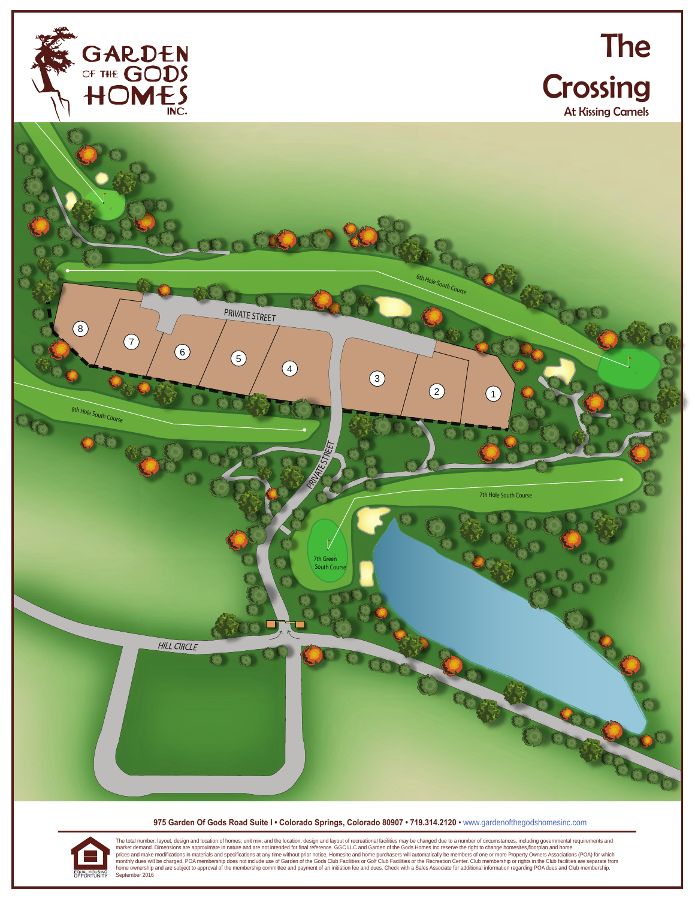





**975 Garden Of Gods Road Suite I • Colorado Springs, Colorado 80907 • 719.314.2120** • www.gardenofthegodshomesinc.com

The total number, layout, design and location of homes; unit mix; and the location, design and layout of recreational facilities may be changed due to a number of circumstances, including governmental requirements and mate